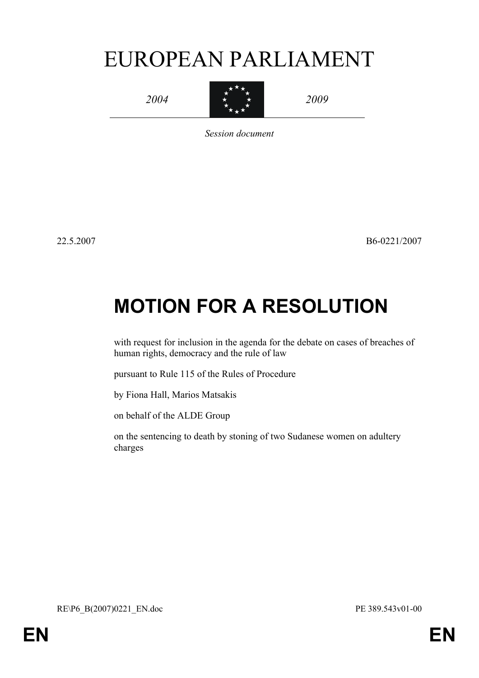# EUROPEAN PARLIAMENT



*Session document*

22.5.2007 B6-0221/2007

## **MOTION FOR A RESOLUTION**

with request for inclusion in the agenda for the debate on cases of breaches of human rights, democracy and the rule of law

pursuant to Rule 115 of the Rules of Procedure

by Fiona Hall, Marios Matsakis

on behalf of the ALDE Group

on the sentencing to death by stoning of two Sudanese women on adultery charges

RE\P6\_B(2007)0221\_EN.doc PE 389.543v01-00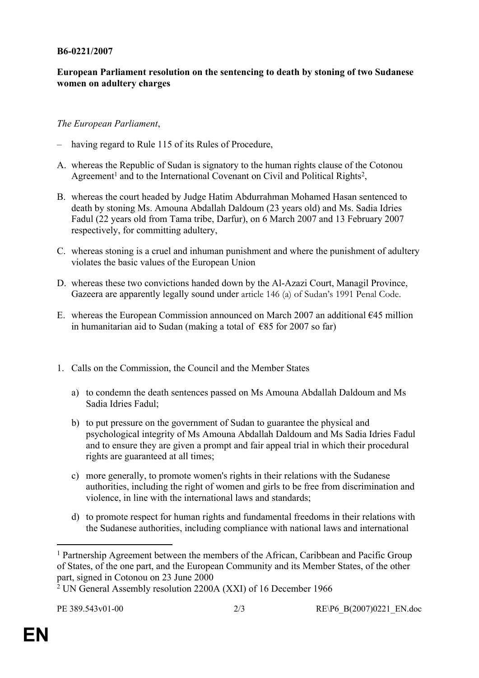#### **B6-0221/2007**

### **European Parliament resolution on the sentencing to death by stoning of two Sudanese women on adultery charges**

#### *The European Parliament*,

- having regard to Rule 115 of its Rules of Procedure,
- A. whereas the Republic of Sudan is signatory to the human rights clause of the Cotonou Agreement<sup>1</sup> and to the International Covenant on Civil and Political Rights<sup>2</sup>,
- B. whereas the court headed by Judge Hatim Abdurrahman Mohamed Hasan sentenced to death by stoning Ms. Amouna Abdallah Daldoum (23 years old) and Ms. Sadia Idries Fadul (22 years old from Tama tribe, Darfur), on 6 March 2007 and 13 February 2007 respectively, for committing adultery,
- C. whereas stoning is a cruel and inhuman punishment and where the punishment of adultery violates the basic values of the European Union
- D. whereas these two convictions handed down by the Al-Azazi Court, Managil Province, Gazeera are apparently legally sound under article 146 (a) of Sudan's 1991 Penal Code.
- E. whereas the European Commission announced on March 2007 an additional  $\epsilon$ 45 million in humanitarian aid to Sudan (making a total of  $\epsilon$ 85 for 2007 so far)
- 1. Calls on the Commission, the Council and the Member States
	- a) to condemn the death sentences passed on Ms Amouna Abdallah Daldoum and Ms Sadia Idries Fadul;
	- b) to put pressure on the government of Sudan to guarantee the physical and psychological integrity of Ms Amouna Abdallah Daldoum and Ms Sadia Idries Fadul and to ensure they are given a prompt and fair appeal trial in which their procedural rights are guaranteed at all times;
	- c) more generally, to promote women's rights in their relations with the Sudanese authorities, including the right of women and girls to be free from discrimination and violence, in line with the international laws and standards;
	- d) to promote respect for human rights and fundamental freedoms in their relations with the Sudanese authorities, including compliance with national laws and international

<sup>&</sup>lt;sup>1</sup> Partnership Agreement between the members of the African, Caribbean and Pacific Group of States, of the one part, and the European Community and its Member States, of the other part, signed in Cotonou on 23 June 2000

<sup>2</sup> UN General Assembly resolution 2200A (XXI) of 16 December 1966